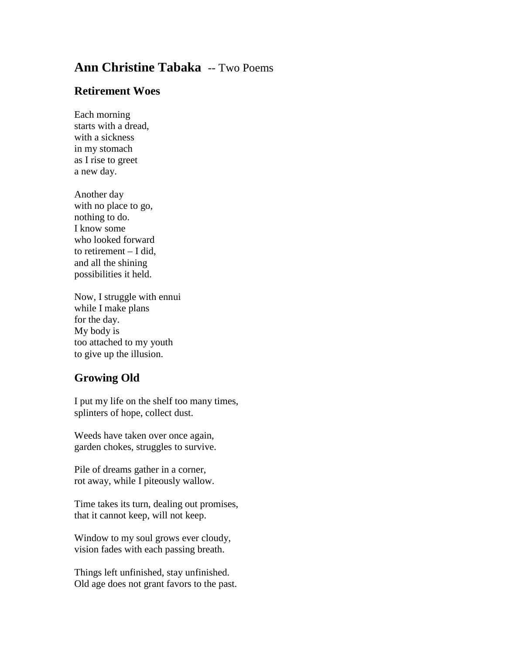## **Ann Christine Tabaka** -- Two Poems

## **Retirement Woes**

Each morning starts with a dread, with a sickness in my stomach as I rise to greet a new day.

Another day with no place to go, nothing to do. I know some who looked forward to retirement – I did, and all the shining possibilities it held.

Now, I struggle with ennui while I make plans for the day. My body is too attached to my youth to give up the illusion.

## **Growing Old**

I put my life on the shelf too many times, splinters of hope, collect dust.

Weeds have taken over once again, garden chokes, struggles to survive.

Pile of dreams gather in a corner, rot away, while I piteously wallow.

Time takes its turn, dealing out promises, that it cannot keep, will not keep.

Window to my soul grows ever cloudy, vision fades with each passing breath.

Things left unfinished, stay unfinished. Old age does not grant favors to the past.